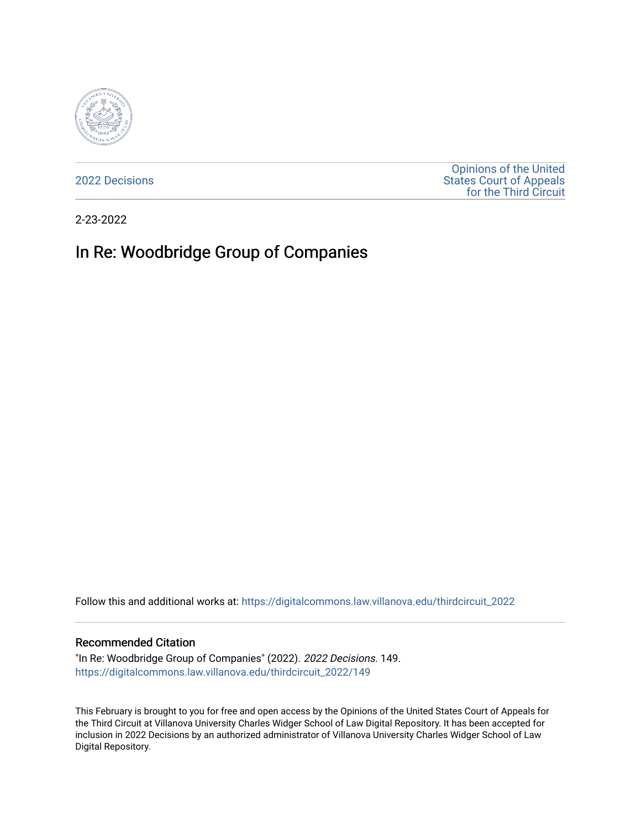

[2022 Decisions](https://digitalcommons.law.villanova.edu/thirdcircuit_2022)

[Opinions of the United](https://digitalcommons.law.villanova.edu/thirdcircuit)  [States Court of Appeals](https://digitalcommons.law.villanova.edu/thirdcircuit)  [for the Third Circuit](https://digitalcommons.law.villanova.edu/thirdcircuit) 

2-23-2022

# In Re: Woodbridge Group of Companies

Follow this and additional works at: [https://digitalcommons.law.villanova.edu/thirdcircuit\\_2022](https://digitalcommons.law.villanova.edu/thirdcircuit_2022?utm_source=digitalcommons.law.villanova.edu%2Fthirdcircuit_2022%2F149&utm_medium=PDF&utm_campaign=PDFCoverPages) 

#### Recommended Citation

"In Re: Woodbridge Group of Companies" (2022). 2022 Decisions. 149. [https://digitalcommons.law.villanova.edu/thirdcircuit\\_2022/149](https://digitalcommons.law.villanova.edu/thirdcircuit_2022/149?utm_source=digitalcommons.law.villanova.edu%2Fthirdcircuit_2022%2F149&utm_medium=PDF&utm_campaign=PDFCoverPages)

This February is brought to you for free and open access by the Opinions of the United States Court of Appeals for the Third Circuit at Villanova University Charles Widger School of Law Digital Repository. It has been accepted for inclusion in 2022 Decisions by an authorized administrator of Villanova University Charles Widger School of Law Digital Repository.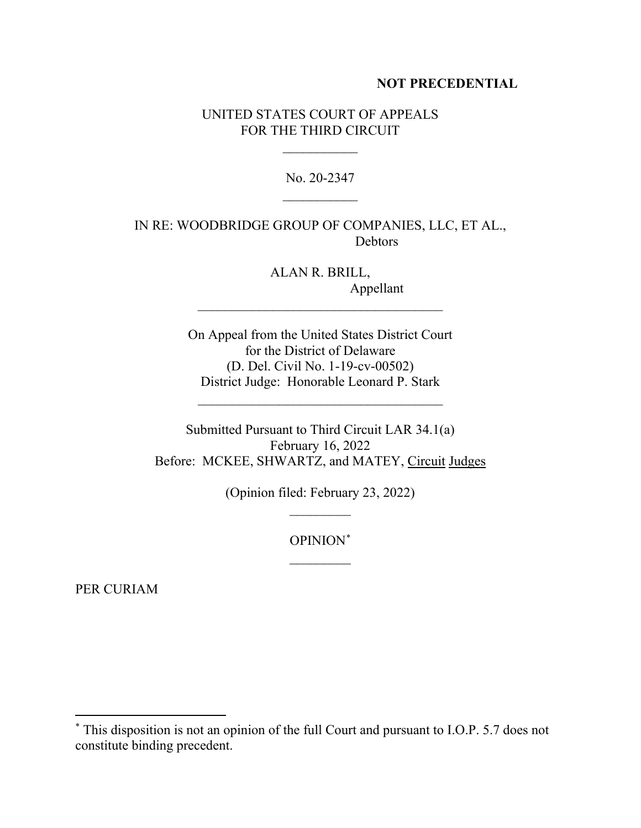## **NOT PRECEDENTIAL**

## UNITED STATES COURT OF APPEALS FOR THE THIRD CIRCUIT

 $\frac{1}{2}$ 

No. 20-2347  $\frac{1}{2}$ 

IN RE: WOODBRIDGE GROUP OF COMPANIES, LLC, ET AL., Debtors

> ALAN R. BRILL, Appellant

On Appeal from the United States District Court for the District of Delaware (D. Del. Civil No. 1-19-cv-00502) District Judge: Honorable Leonard P. Stark

 $\mathcal{L}_\text{max}$  , where  $\mathcal{L}_\text{max}$  and  $\mathcal{L}_\text{max}$  and  $\mathcal{L}_\text{max}$ 

\_\_\_\_\_\_\_\_\_\_\_\_\_\_\_\_\_\_\_\_\_\_\_\_\_\_\_\_\_\_\_\_\_\_\_\_

Submitted Pursuant to Third Circuit LAR 34.1(a) February 16, 2022 Before: MCKEE, SHWARTZ, and MATEY, Circuit Judges

> (Opinion filed: February 23, 2022)  $\frac{1}{2}$

> > OPINION[\\*](#page-1-0)  $\overline{\phantom{a}}$

PER CURIAM

<span id="page-1-0"></span><sup>\*</sup> This disposition is not an opinion of the full Court and pursuant to I.O.P. 5.7 does not constitute binding precedent.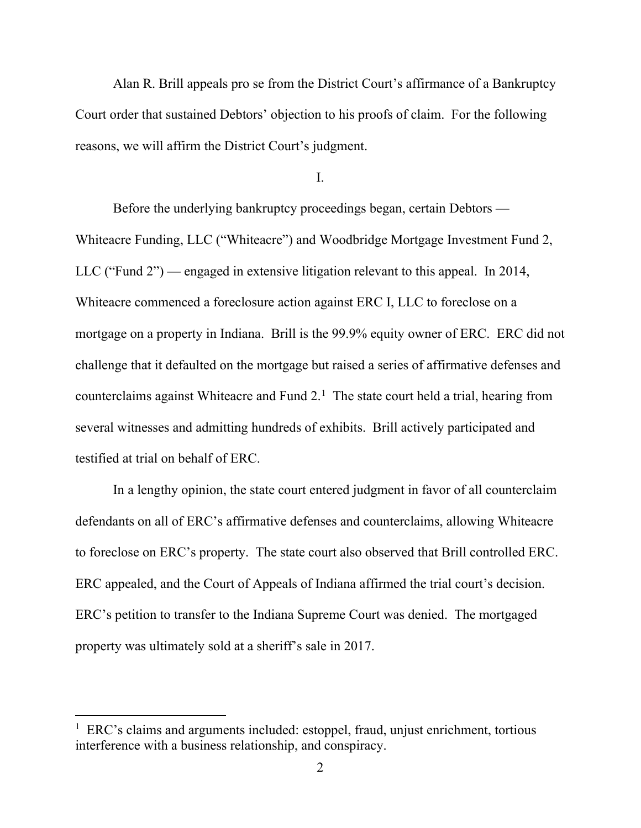Alan R. Brill appeals pro se from the District Court's affirmance of a Bankruptcy Court order that sustained Debtors' objection to his proofs of claim. For the following reasons, we will affirm the District Court's judgment.

I.

Before the underlying bankruptcy proceedings began, certain Debtors — Whiteacre Funding, LLC ("Whiteacre") and Woodbridge Mortgage Investment Fund 2, LLC ("Fund 2") — engaged in extensive litigation relevant to this appeal. In 2014, Whiteacre commenced a foreclosure action against ERC I, LLC to foreclose on a mortgage on a property in Indiana. Brill is the 99.9% equity owner of ERC. ERC did not challenge that it defaulted on the mortgage but raised a series of affirmative defenses and counterclaims against Whiteacre and Fund  $2<sup>1</sup>$  $2<sup>1</sup>$  $2<sup>1</sup>$  The state court held a trial, hearing from several witnesses and admitting hundreds of exhibits. Brill actively participated and testified at trial on behalf of ERC.

In a lengthy opinion, the state court entered judgment in favor of all counterclaim defendants on all of ERC's affirmative defenses and counterclaims, allowing Whiteacre to foreclose on ERC's property. The state court also observed that Brill controlled ERC. ERC appealed, and the Court of Appeals of Indiana affirmed the trial court's decision. ERC's petition to transfer to the Indiana Supreme Court was denied. The mortgaged property was ultimately sold at a sheriff's sale in 2017.

<span id="page-2-0"></span><sup>&</sup>lt;sup>1</sup> ERC's claims and arguments included: estoppel, fraud, unjust enrichment, tortious interference with a business relationship, and conspiracy.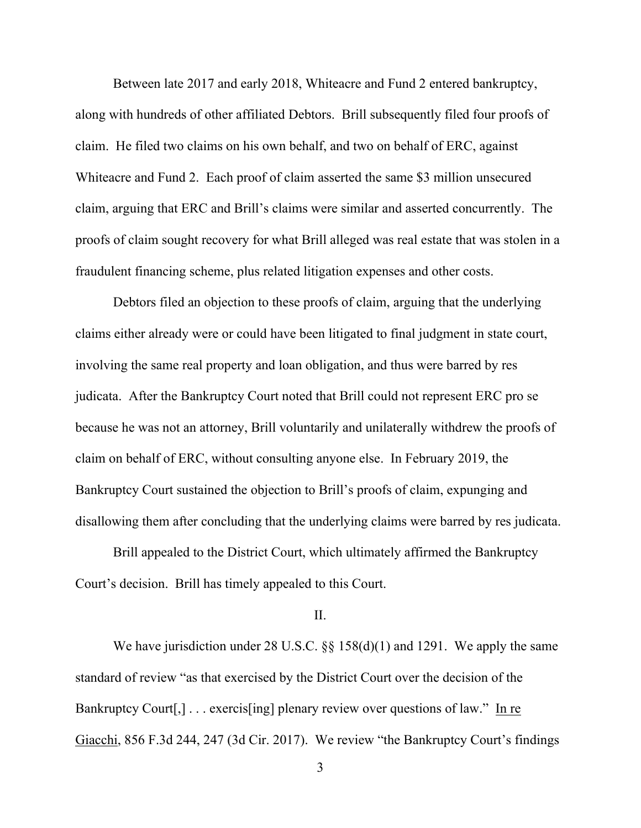Between late 2017 and early 2018, Whiteacre and Fund 2 entered bankruptcy, along with hundreds of other affiliated Debtors. Brill subsequently filed four proofs of claim. He filed two claims on his own behalf, and two on behalf of ERC, against Whiteacre and Fund 2. Each proof of claim asserted the same \$3 million unsecured claim, arguing that ERC and Brill's claims were similar and asserted concurrently. The proofs of claim sought recovery for what Brill alleged was real estate that was stolen in a fraudulent financing scheme, plus related litigation expenses and other costs.

Debtors filed an objection to these proofs of claim, arguing that the underlying claims either already were or could have been litigated to final judgment in state court, involving the same real property and loan obligation, and thus were barred by res judicata. After the Bankruptcy Court noted that Brill could not represent ERC pro se because he was not an attorney, Brill voluntarily and unilaterally withdrew the proofs of claim on behalf of ERC, without consulting anyone else. In February 2019, the Bankruptcy Court sustained the objection to Brill's proofs of claim, expunging and disallowing them after concluding that the underlying claims were barred by res judicata.

Brill appealed to the District Court, which ultimately affirmed the Bankruptcy Court's decision. Brill has timely appealed to this Court.

## II.

We have jurisdiction under 28 U.S.C. §§ 158(d)(1) and 1291. We apply the same standard of review "as that exercised by the District Court over the decision of the Bankruptcy Court<sup>[1]</sup>, . . . exercis<sup>[ing]</sup> plenary review over questions of law." In re Giacchi, 856 F.3d 244, 247 (3d Cir. 2017). We review "the Bankruptcy Court's findings

3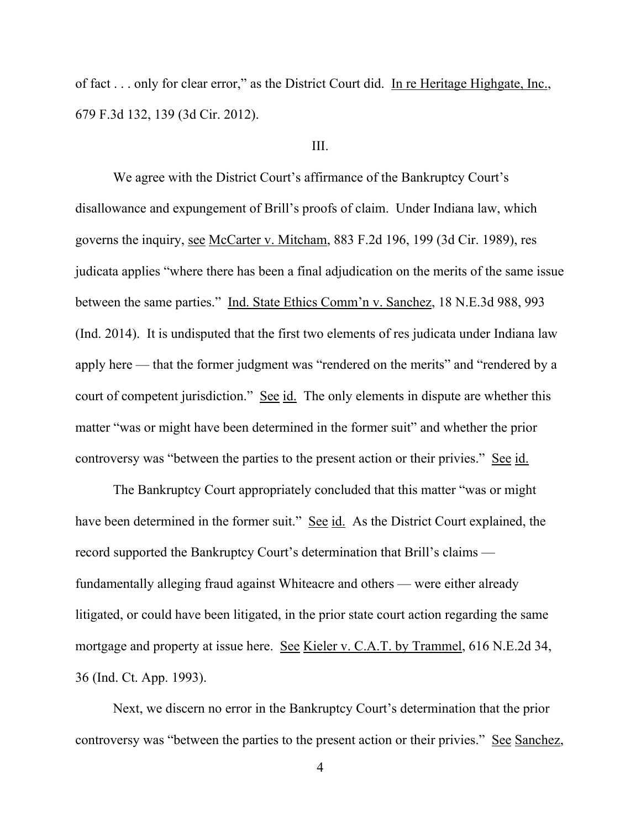of fact . . . only for clear error," as the District Court did. In re Heritage Highgate, Inc., 679 F.3d 132, 139 (3d Cir. 2012).

#### III.

We agree with the District Court's affirmance of the Bankruptcy Court's disallowance and expungement of Brill's proofs of claim. Under Indiana law, which governs the inquiry, see McCarter v. Mitcham, 883 F.2d 196, 199 (3d Cir. 1989), res judicata applies "where there has been a final adjudication on the merits of the same issue between the same parties." Ind. State Ethics Comm'n v. Sanchez, 18 N.E.3d 988, 993 (Ind. 2014). It is undisputed that the first two elements of res judicata under Indiana law apply here — that the former judgment was "rendered on the merits" and "rendered by a court of competent jurisdiction." See id. The only elements in dispute are whether this matter "was or might have been determined in the former suit" and whether the prior controversy was "between the parties to the present action or their privies." See id.

The Bankruptcy Court appropriately concluded that this matter "was or might have been determined in the former suit." See id. As the District Court explained, the record supported the Bankruptcy Court's determination that Brill's claims fundamentally alleging fraud against Whiteacre and others — were either already litigated, or could have been litigated, in the prior state court action regarding the same mortgage and property at issue here. See Kieler v. C.A.T. by Trammel, 616 N.E.2d 34, 36 (Ind. Ct. App. 1993).

Next, we discern no error in the Bankruptcy Court's determination that the prior controversy was "between the parties to the present action or their privies." See Sanchez,

4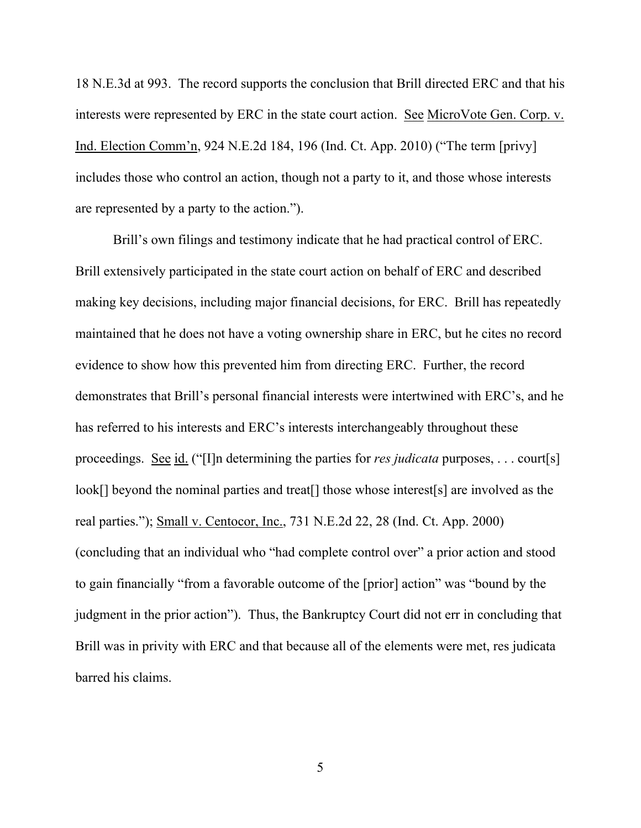18 N.E.3d at 993. The record supports the conclusion that Brill directed ERC and that his interests were represented by ERC in the state court action. See MicroVote Gen. Corp. v. Ind. Election Comm'n, 924 N.E.2d 184, 196 (Ind. Ct. App. 2010) ("The term [privy] includes those who control an action, though not a party to it, and those whose interests are represented by a party to the action.").

Brill's own filings and testimony indicate that he had practical control of ERC. Brill extensively participated in the state court action on behalf of ERC and described making key decisions, including major financial decisions, for ERC. Brill has repeatedly maintained that he does not have a voting ownership share in ERC, but he cites no record evidence to show how this prevented him from directing ERC. Further, the record demonstrates that Brill's personal financial interests were intertwined with ERC's, and he has referred to his interests and ERC's interests interchangeably throughout these proceedings. See id. ("[I]n determining the parties for *res judicata* purposes, . . . court[s] look[] beyond the nominal parties and treat[] those whose interest[s] are involved as the real parties."); Small v. Centocor, Inc., 731 N.E.2d 22, 28 (Ind. Ct. App. 2000) (concluding that an individual who "had complete control over" a prior action and stood to gain financially "from a favorable outcome of the [prior] action" was "bound by the judgment in the prior action"). Thus, the Bankruptcy Court did not err in concluding that Brill was in privity with ERC and that because all of the elements were met, res judicata barred his claims.

5